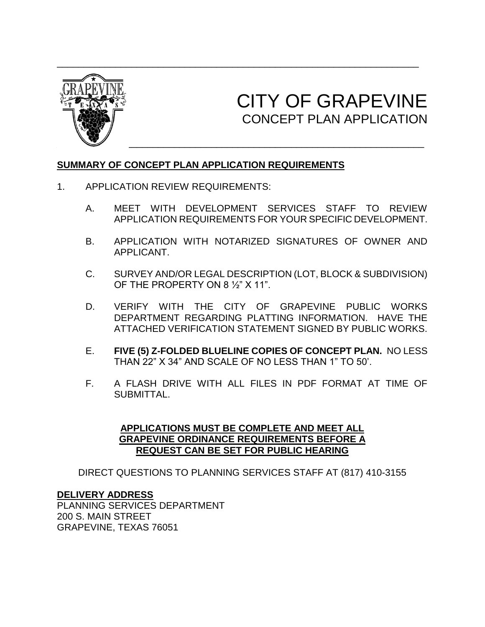

# CITY OF GRAPEVINE CONCEPT PLAN APPLICATION

# **SUMMARY OF CONCEPT PLAN APPLICATION REQUIREMENTS**

- 1. APPLICATION REVIEW REQUIREMENTS:
	- A. MEET WITH DEVELOPMENT SERVICES STAFF TO REVIEW APPLICATION REQUIREMENTS FOR YOUR SPECIFIC DEVELOPMENT.
	- B. APPLICATION WITH NOTARIZED SIGNATURES OF OWNER AND APPLICANT.
	- C. SURVEY AND/OR LEGAL DESCRIPTION (LOT, BLOCK & SUBDIVISION) OF THE PROPERTY ON 8 ½" X 11".
	- D. VERIFY WITH THE CITY OF GRAPEVINE PUBLIC WORKS DEPARTMENT REGARDING PLATTING INFORMATION. HAVE THE ATTACHED VERIFICATION STATEMENT SIGNED BY PUBLIC WORKS.
	- E. **FIVE (5) Z-FOLDED BLUELINE COPIES OF CONCEPT PLAN.** NO LESS THAN 22" X 34" AND SCALE OF NO LESS THAN 1" TO 50'.
	- F. A FLASH DRIVE WITH ALL FILES IN PDF FORMAT AT TIME OF SUBMITTAL.

#### **APPLICATIONS MUST BE COMPLETE AND MEET ALL GRAPEVINE ORDINANCE REQUIREMENTS BEFORE A REQUEST CAN BE SET FOR PUBLIC HEARING**

DIRECT QUESTIONS TO PLANNING SERVICES STAFF AT (817) 410-3155

#### **DELIVERY ADDRESS**

PLANNING SERVICES DEPARTMENT 200 S. MAIN STREET GRAPEVINE, TEXAS 76051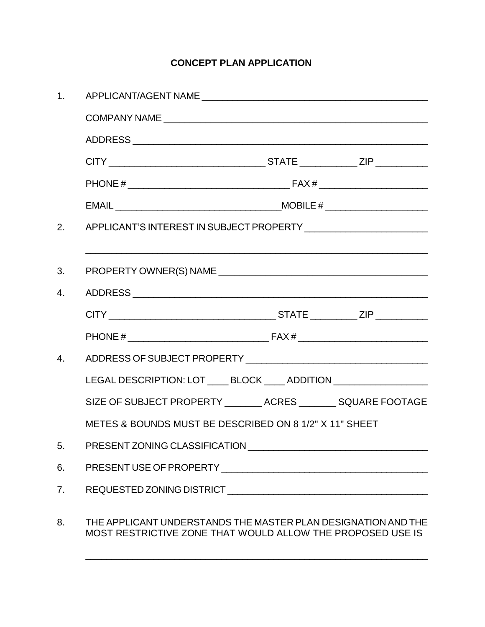# **CONCEPT PLAN APPLICATION**

| 1 <sub>1</sub>                                                           |                                                                                                                                                                                                                                                                                                                                                                                                                                                                                                                                                                                                                                  |  |  |  |
|--------------------------------------------------------------------------|----------------------------------------------------------------------------------------------------------------------------------------------------------------------------------------------------------------------------------------------------------------------------------------------------------------------------------------------------------------------------------------------------------------------------------------------------------------------------------------------------------------------------------------------------------------------------------------------------------------------------------|--|--|--|
|                                                                          |                                                                                                                                                                                                                                                                                                                                                                                                                                                                                                                                                                                                                                  |  |  |  |
|                                                                          |                                                                                                                                                                                                                                                                                                                                                                                                                                                                                                                                                                                                                                  |  |  |  |
|                                                                          |                                                                                                                                                                                                                                                                                                                                                                                                                                                                                                                                                                                                                                  |  |  |  |
|                                                                          |                                                                                                                                                                                                                                                                                                                                                                                                                                                                                                                                                                                                                                  |  |  |  |
|                                                                          | $\text{HOBILE} \# \underline{\hspace{2cm}} \underline{\hspace{2cm}} \underline{\hspace{2cm}} \underline{\hspace{2cm}} \underline{\hspace{2cm}} \underline{\hspace{2cm}} \underline{\hspace{2cm}} \underline{\hspace{2cm}} \underline{\hspace{2cm}} \underline{\hspace{2cm}} \underline{\hspace{2cm}} \underline{\hspace{2cm}} \underline{\hspace{2cm}} \underline{\hspace{2cm}} \underline{\hspace{2cm}} \underline{\hspace{2cm}} \underline{\hspace{2cm}} \underline{\hspace{2cm}} \underline{\hspace{2cm}} \underline{\hspace{2cm}} \underline{\hspace{2cm}} \underline{\hspace{2cm}} \underline{\hspace{2cm}} \underline{\hs$ |  |  |  |
| APPLICANT'S INTEREST IN SUBJECT PROPERTY _________________________<br>2. |                                                                                                                                                                                                                                                                                                                                                                                                                                                                                                                                                                                                                                  |  |  |  |
|                                                                          |                                                                                                                                                                                                                                                                                                                                                                                                                                                                                                                                                                                                                                  |  |  |  |
| 3.                                                                       |                                                                                                                                                                                                                                                                                                                                                                                                                                                                                                                                                                                                                                  |  |  |  |
| 4.                                                                       |                                                                                                                                                                                                                                                                                                                                                                                                                                                                                                                                                                                                                                  |  |  |  |
|                                                                          |                                                                                                                                                                                                                                                                                                                                                                                                                                                                                                                                                                                                                                  |  |  |  |
|                                                                          |                                                                                                                                                                                                                                                                                                                                                                                                                                                                                                                                                                                                                                  |  |  |  |
| 4.                                                                       |                                                                                                                                                                                                                                                                                                                                                                                                                                                                                                                                                                                                                                  |  |  |  |
| LEGAL DESCRIPTION: LOT _____ BLOCK _____ ADDITION ___________________    |                                                                                                                                                                                                                                                                                                                                                                                                                                                                                                                                                                                                                                  |  |  |  |
|                                                                          | SIZE OF SUBJECT PROPERTY ________ ACRES ________ SQUARE FOOTAGE                                                                                                                                                                                                                                                                                                                                                                                                                                                                                                                                                                  |  |  |  |
| METES & BOUNDS MUST BE DESCRIBED ON 8 1/2" X 11" SHEET                   |                                                                                                                                                                                                                                                                                                                                                                                                                                                                                                                                                                                                                                  |  |  |  |
| 5.                                                                       |                                                                                                                                                                                                                                                                                                                                                                                                                                                                                                                                                                                                                                  |  |  |  |
| 6.                                                                       |                                                                                                                                                                                                                                                                                                                                                                                                                                                                                                                                                                                                                                  |  |  |  |
| 7.                                                                       |                                                                                                                                                                                                                                                                                                                                                                                                                                                                                                                                                                                                                                  |  |  |  |
| 8.                                                                       | THE APPLICANT UNDERSTANDS THE MASTER PLAN DESIGNATION AND THE<br>MOST RESTRICTIVE ZONE THAT WOULD ALLOW THE PROPOSED USE IS                                                                                                                                                                                                                                                                                                                                                                                                                                                                                                      |  |  |  |

 $\_$  , and the set of the set of the set of the set of the set of the set of the set of the set of the set of the set of the set of the set of the set of the set of the set of the set of the set of the set of the set of th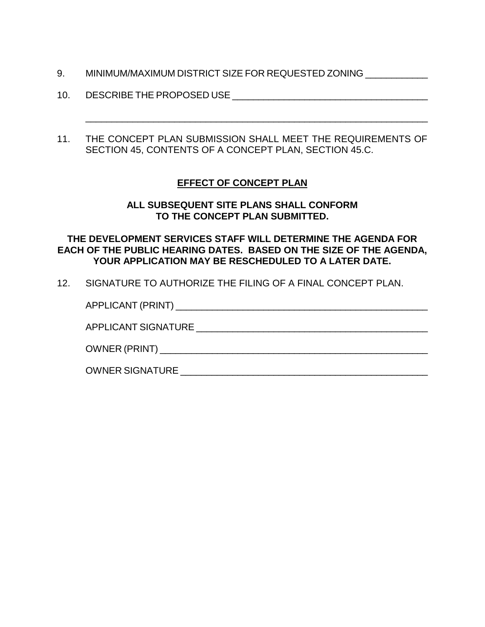- 9. MINIMUM/MAXIMUM DISTRICT SIZE FOR REQUESTED ZONING
- 10. DESCRIBE THE PROPOSED USE **EXAMPLE 2008**
- 11. THE CONCEPT PLAN SUBMISSION SHALL MEET THE REQUIREMENTS OF SECTION 45, CONTENTS OF A CONCEPT PLAN, SECTION 45.C.

 $\_$  , and the set of the set of the set of the set of the set of the set of the set of the set of the set of the set of the set of the set of the set of the set of the set of the set of the set of the set of the set of th

# **EFFECT OF CONCEPT PLAN**

### **ALL SUBSEQUENT SITE PLANS SHALL CONFORM TO THE CONCEPT PLAN SUBMITTED.**

# **THE DEVELOPMENT SERVICES STAFF WILL DETERMINE THE AGENDA FOR EACH OF THE PUBLIC HEARING DATES. BASED ON THE SIZE OF THE AGENDA, YOUR APPLICATION MAY BE RESCHEDULED TO A LATER DATE.**

12. SIGNATURE TO AUTHORIZE THE FILING OF A FINAL CONCEPT PLAN.

| APPLICANT SIGNATURE    |
|------------------------|
|                        |
| <b>OWNER SIGNATURE</b> |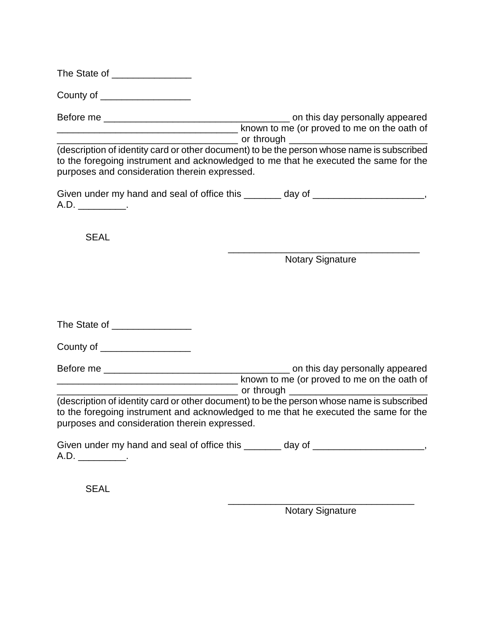| The State of |  |
|--------------|--|
|--------------|--|

County of \_\_\_\_\_\_\_\_\_\_\_\_\_\_\_\_\_

Before me \_\_\_\_\_\_\_\_\_\_\_\_\_\_\_\_\_\_\_\_\_\_\_\_\_\_\_\_\_\_\_\_\_\_\_ on this day personally appeared **EXAMPLE ASSEMBLE AT A LOCAL CONSTRUCT A LOCAL CONSTRUCT A LOCAL CONSTRUCT A LOCAL CONSTRUCT A LOCAL CONSTRUCT**  $\Box$  or through  $\Box$ 

(description of identity card or other document) to be the person whose name is subscribed to the foregoing instrument and acknowledged to me that he executed the same for the purposes and consideration therein expressed.

|     | Given under my hand and seal of office this | day of |  |
|-----|---------------------------------------------|--------|--|
| A.D |                                             |        |  |

SEAL

\_\_\_\_\_\_\_\_\_\_\_\_\_\_\_\_\_\_\_\_\_\_\_\_\_\_\_\_\_\_\_\_\_\_\_\_ Notary Signature

The State of \_\_\_\_\_\_\_\_\_\_\_\_\_\_\_

County of \_\_\_\_\_\_\_\_\_\_\_\_\_\_\_\_\_

Before me \_\_\_\_\_\_\_\_\_\_\_\_\_\_\_\_\_\_\_\_\_\_\_\_\_\_\_\_\_\_\_\_\_\_\_ on this day personally appeared **EXECUTE:** Known to me (or proved to me on the oath of  $\Box$  or through  $\Box$ 

(description of identity card or other document) to be the person whose name is subscribed to the foregoing instrument and acknowledged to me that he executed the same for the purposes and consideration therein expressed.

Given under my hand and seal of office this \_\_\_\_\_\_\_ day of \_\_\_\_\_\_\_\_\_\_\_\_\_\_\_\_\_\_, A.D. \_\_\_\_\_\_\_\_\_\_\_.

**SEAL** 

\_\_\_\_\_\_\_\_\_\_\_\_\_\_\_\_\_\_\_\_\_\_\_\_\_\_\_\_\_\_\_\_\_\_\_ Notary Signature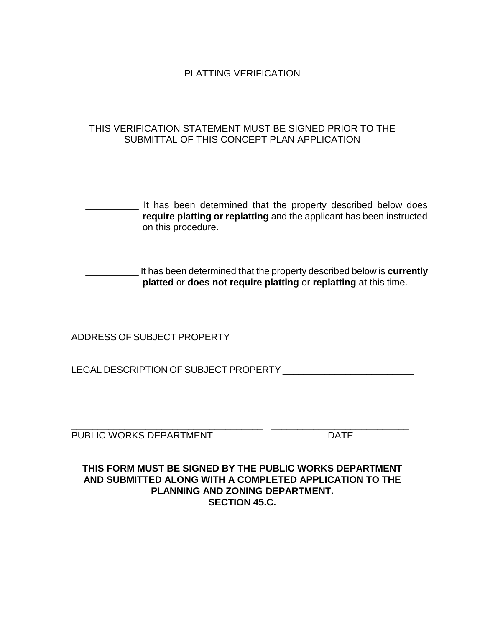PI ATTING VERIFICATION

# THIS VERIFICATION STATEMENT MUST BE SIGNED PRIOR TO THE SUBMITTAL OF THIS CONCEPT PLAN APPLICATION

**If has been determined that the property described below does require platting or replatting** and the applicant has been instructed on this procedure.

\_\_\_\_\_\_\_\_\_\_ It has been determined that the property described below is **currently platted** or **does not require platting** or **replatting** at this time.

ADDRESS OF SUBJECT PROPERTY \_\_\_\_\_\_\_\_\_\_\_\_\_\_\_\_\_\_\_\_\_\_\_\_\_\_\_\_\_\_\_\_\_\_\_

LEGAL DESCRIPTION OF SUBJECT PROPERTY \_\_\_\_\_\_\_\_\_\_\_\_\_\_\_\_\_\_\_\_\_\_\_\_\_

\_\_\_\_\_\_\_\_\_\_\_\_\_\_\_\_\_\_\_\_\_\_\_\_\_\_\_\_\_\_\_\_\_\_\_\_ \_\_\_\_\_\_\_\_\_\_\_\_\_\_\_\_\_\_\_\_\_\_\_\_\_\_ PUBLIC WORKS DEPARTMENT FOR THE RESERVE TO A THE

**THIS FORM MUST BE SIGNED BY THE PUBLIC WORKS DEPARTMENT AND SUBMITTED ALONG WITH A COMPLETED APPLICATION TO THE PLANNING AND ZONING DEPARTMENT. SECTION 45.C.**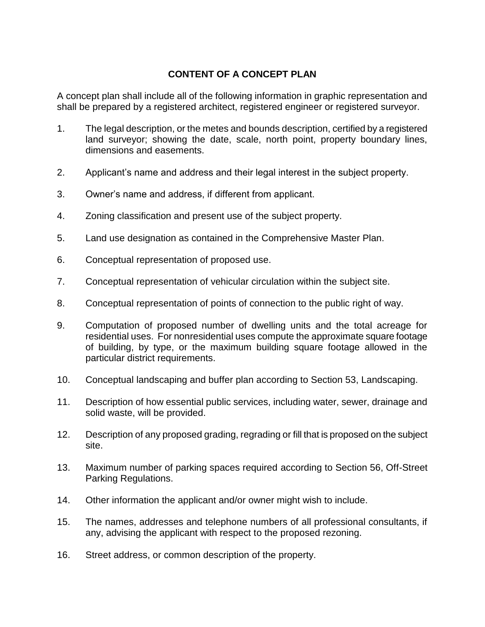# **CONTENT OF A CONCEPT PLAN**

A concept plan shall include all of the following information in graphic representation and shall be prepared by a registered architect, registered engineer or registered surveyor.

- 1. The legal description, or the metes and bounds description, certified by a registered land surveyor; showing the date, scale, north point, property boundary lines, dimensions and easements.
- 2. Applicant's name and address and their legal interest in the subject property.
- 3. Owner's name and address, if different from applicant.
- 4. Zoning classification and present use of the subject property.
- 5. Land use designation as contained in the Comprehensive Master Plan.
- 6. Conceptual representation of proposed use.
- 7. Conceptual representation of vehicular circulation within the subject site.
- 8. Conceptual representation of points of connection to the public right of way.
- 9. Computation of proposed number of dwelling units and the total acreage for residential uses. For nonresidential uses compute the approximate square footage of building, by type, or the maximum building square footage allowed in the particular district requirements.
- 10. Conceptual landscaping and buffer plan according to Section 53, Landscaping.
- 11. Description of how essential public services, including water, sewer, drainage and solid waste, will be provided.
- 12. Description of any proposed grading, regrading or fill that is proposed on the subject site.
- 13. Maximum number of parking spaces required according to Section 56, Off-Street Parking Regulations.
- 14. Other information the applicant and/or owner might wish to include.
- 15. The names, addresses and telephone numbers of all professional consultants, if any, advising the applicant with respect to the proposed rezoning.
- 16. Street address, or common description of the property.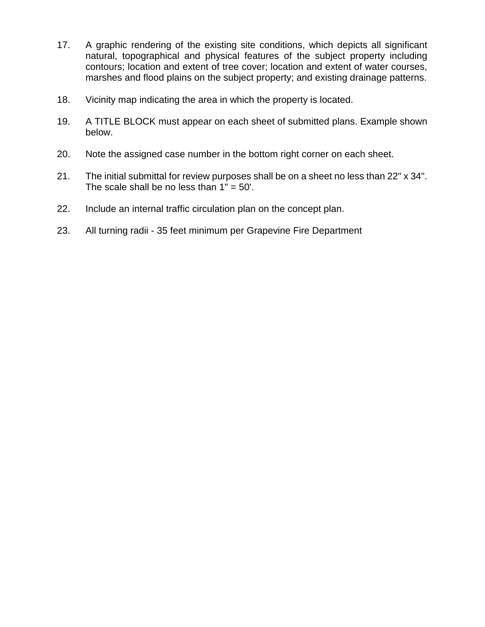- 17. A graphic rendering of the existing site conditions, which depicts all significant natural, topographical and physical features of the subject property including contours; location and extent of tree cover; location and extent of water courses, marshes and flood plains on the subject property; and existing drainage patterns.
- 18. Vicinity map indicating the area in which the property is located.
- 19. A TITLE BLOCK must appear on each sheet of submitted plans. Example shown below.
- 20. Note the assigned case number in the bottom right corner on each sheet.
- 21. The initial submittal for review purposes shall be on a sheet no less than 22" x 34". The scale shall be no less than  $1" = 50'.$
- 22. Include an internal traffic circulation plan on the concept plan.
- 23. All turning radii 35 feet minimum per Grapevine Fire Department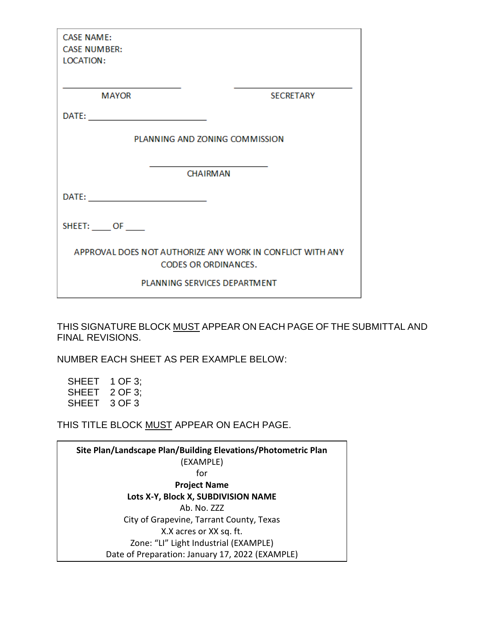| <b>CASE NAME:</b><br><b>CASE NUMBER:</b><br><b>LOCATION:</b>                             |                                                             |
|------------------------------------------------------------------------------------------|-------------------------------------------------------------|
| <b>MAYOR</b>                                                                             | <b>SECRETARY</b>                                            |
|                                                                                          |                                                             |
| PLANNING AND ZONING COMMISSION                                                           |                                                             |
|                                                                                          | the control of the control of the control of the control of |
| <b>CHAIRMAN</b>                                                                          |                                                             |
|                                                                                          |                                                             |
| SHEET: OF                                                                                |                                                             |
| APPROVAL DOES NOT AUTHORIZE ANY WORK IN CONFLICT WITH ANY<br><b>CODES OR ORDINANCES.</b> |                                                             |
| PLANNING SERVICES DEPARTMENT                                                             |                                                             |

THIS SIGNATURE BLOCK MUST APPEAR ON EACH PAGE OF THE SUBMITTAL AND FINAL REVISIONS.

NUMBER EACH SHEET AS PER EXAMPLE BELOW:

SHEET 1 OF 3; SHEET 2 OF 3; SHEET 3 OF 3

THIS TITLE BLOCK MUST APPEAR ON EACH PAGE.

**Site Plan/Landscape Plan/Building Elevations/Photometric Plan**  (EXAMPLE) for **Project Name Lots X-Y, Block X, SUBDIVISION NAME** Ab. No. ZZZ City of Grapevine, Tarrant County, Texas X.X acres or XX sq. ft. Zone: "LI" Light Industrial (EXAMPLE) Date of Preparation: January 17, 2022 (EXAMPLE)